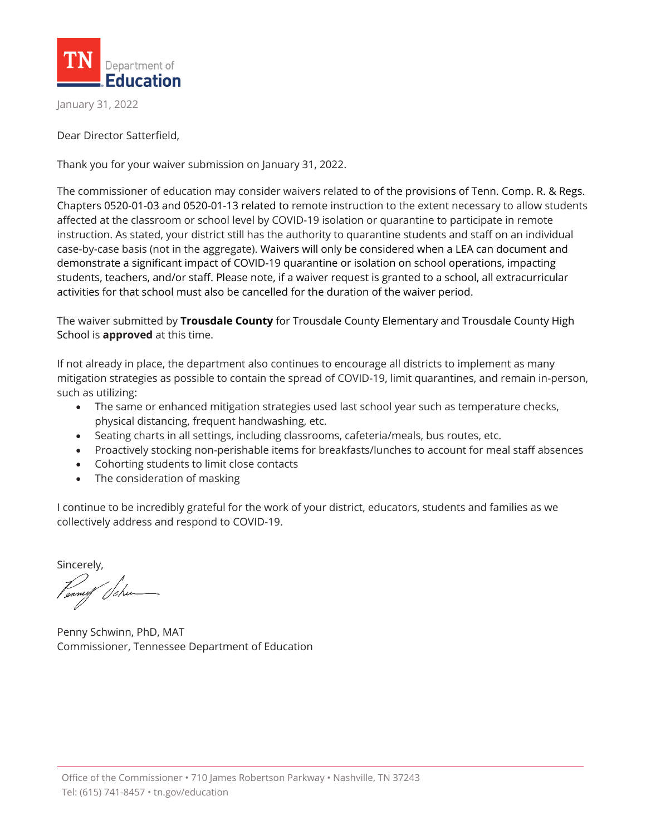

January 31, 2022

Dear Director Satterfield,

Thank you for your waiver submission on January 31, 2022.

The commissioner of education may consider waivers related to of the provisions of Tenn. Comp. R. & Regs. Chapters 0520-01-03 and 0520-01-13 related to remote instruction to the extent necessary to allow students affected at the classroom or school level by COVID-19 isolation or quarantine to participate in remote instruction. As stated, your district still has the authority to quarantine students and staff on an individual case-by-case basis (not in the aggregate). Waivers will only be considered when a LEA can document and demonstrate a significant impact of COVID-19 quarantine or isolation on school operations, impacting students, teachers, and/or staff. Please note, if a waiver request is granted to a school, all extracurricular activities for that school must also be cancelled for the duration of the waiver period.

The waiver submitted by **Trousdale County** for Trousdale County Elementary and Trousdale County High School is **approved** at this time.

If not already in place, the department also continues to encourage all districts to implement as many mitigation strategies as possible to contain the spread of COVID-19, limit quarantines, and remain in-person, such as utilizing:

- The same or enhanced mitigation strategies used last school year such as temperature checks, physical distancing, frequent handwashing, etc.
- Seating charts in all settings, including classrooms, cafeteria/meals, bus routes, etc.
- Proactively stocking non-perishable items for breakfasts/lunches to account for meal staff absences
- Cohorting students to limit close contacts
- The consideration of masking

I continue to be incredibly grateful for the work of your district, educators, students and families as we collectively address and respond to COVID-19.

Sincerely,

Penny Schwinn, PhD, MAT Commissioner, Tennessee Department of Education